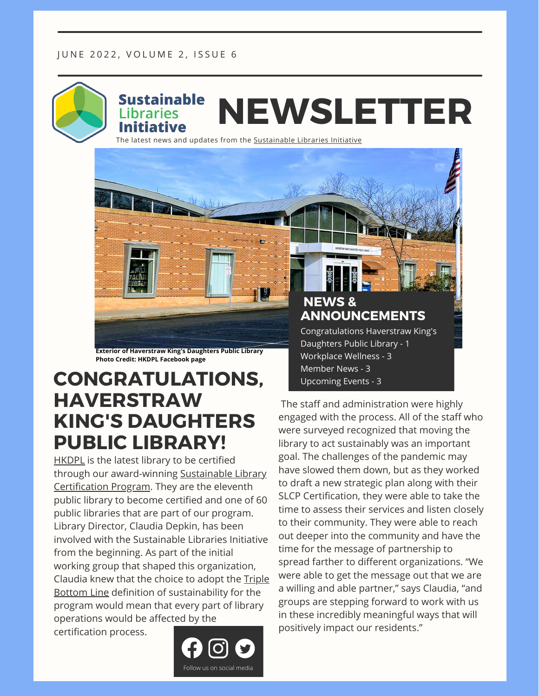

The [latest](https://sustainablelibrariesinitiative.org/) news and updates from the **[Sustainable](https://sustainablelibrariesinitiative.org/) Libraries Initiative** 

**Exterior of Haverstraw King's Daughters Public Library Photo Credit: HKDPL Facebook page**

### **CONGRATULATIONS, HAVERSTRAW KING'S DAUGHTERS PUBLIC LIBRARY!**

[HKDPL](https://www.haverstrawlibrary.org/) is the latest library to be certified through our [award-winning](https://sustainablelibrariesinitiative.org/news/congratulations-haverstraw-kings-daughters-public-library) Sustainable Library Certification Program. They are the eleventh public library to become certified and one of 60 public libraries that are part of our program. Library Director, Claudia Depkin, has been involved with the Sustainable Libraries Initiative from the beginning. As part of the initial working group that shaped this organization, Claudia knew that the choice to adopt the Triple Bottom Line definition of [sustainability](https://sustainablelibrariesinitiative.org/about-us/faq) for the program would mean that every part of library operations would be affected by the

certification process.



**NEWS & ANNOUNCEMENTS**

Congratulations Haverstraw King's Daughters Public Library - 1 Workplace Wellness - 3 Member News - 3 Upcoming Events - 3

The staff and administration were highly engaged with the process. All of the staff who were surveyed recognized that moving the library to act sustainably was an important goal. The challenges of the pandemic may have slowed them down, but as they worked to draft a new strategic plan along with their SLCP Certification, they were able to take the time to assess their services and listen closely to their community. They were able to reach out deeper into the community and have the time for the message of partnership to spread farther to different organizations. "We were able to get the message out that we are a willing and able partner," says Claudia, "and groups are stepping forward to work with us in these incredibly meaningful ways that will positively impact our residents."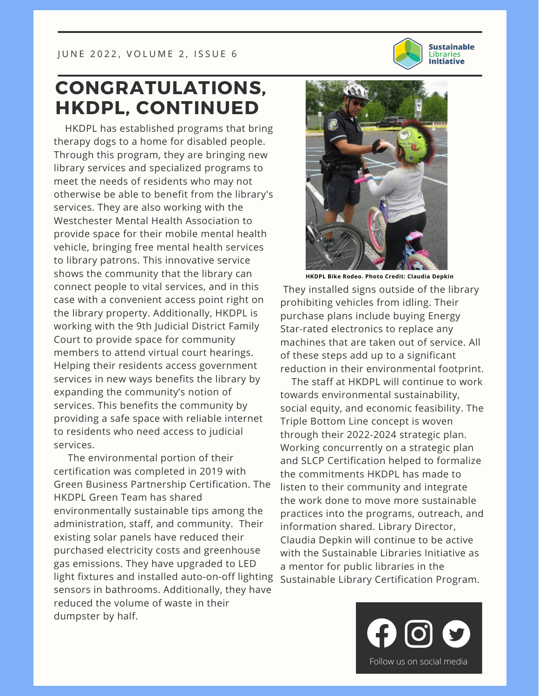

#### **CONGRATULATIONS, HKDPL, CONTINUED**

HKDPL has established programs that bring therapy dogs to a home for disabled people. Through this program, they are bringing new library services and specialized programs to meet the needs of residents who may not otherwise be able to benefit from the library's services. They are also working with the Westchester Mental Health Association to provide space for their mobile mental health vehicle, bringing free mental health services to library patrons. This innovative service shows the community that the library can connect people to vital services, and in this case with a convenient access point right on the library property. Additionally, HKDPL is working with the 9th Judicial District Family Court to provide space for community members to attend virtual court hearings. Helping their residents access government services in new ways benefits the library by expanding the community's notion of services. This benefits the community by providing a safe space with reliable internet to residents who need access to judicial services.

The environmental portion of their certification was completed in 2019 with Green Business Partnership Certification. The HKDPL Green Team has shared environmentally sustainable tips among the administration, staff, and community. Their existing solar panels have reduced their purchased electricity costs and greenhouse gas emissions. They have upgraded to LED light fixtures and installed auto-on-off lighting sensors in bathrooms. Additionally, they have reduced the volume of waste in their dumpster by half.



They installed signs outside of the library prohibiting vehicles from idling. Their purchase plans include buying Energy Star-rated electronics to replace any machines that are taken out of service. All of these steps add up to a significant reduction in their environmental footprint.

The staff at HKDPL will continue to work towards environmental sustainability, social equity, and economic feasibility. The Triple Bottom Line concept is woven through their 2022-2024 strategic plan. Working concurrently on a strategic plan and SLCP Certification helped to formalize the commitments HKDPL has made to listen to their community and integrate the work done to move more sustainable practices into the programs, outreach, and information shared. Library Director, Claudia Depkin will continue to be active with the Sustainable Libraries Initiative as a mentor for public libraries in the Sustainable Library Certification Program.